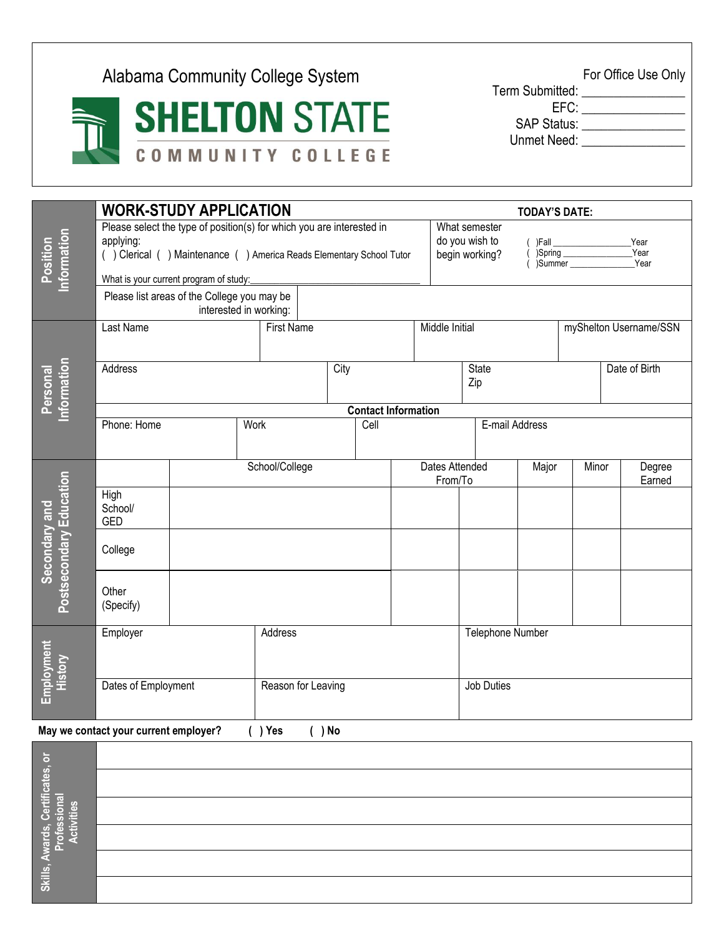Alabama Community College System For Office Use Only

**SHELTON STATE** COMMUNITY COLLEGE

Term Submitted: \_\_\_\_\_\_\_\_\_\_\_\_\_\_\_\_ EFC: \_\_\_\_\_\_\_\_\_\_\_\_\_\_\_\_

SAP Status: \_\_\_\_\_\_\_\_\_\_\_\_\_\_\_\_

Unmet Need: \_\_\_\_\_\_\_\_\_\_\_\_\_\_\_\_

| Position<br>nformation                   | <b>WORK-STUDY APPLICATION</b>                                                                                                                                                                       |                   |                    |  |      |                                                                                     |                  | <b>TODAY'S DATE:</b> |                        |  |                  |  |  |
|------------------------------------------|-----------------------------------------------------------------------------------------------------------------------------------------------------------------------------------------------------|-------------------|--------------------|--|------|-------------------------------------------------------------------------------------|------------------|----------------------|------------------------|--|------------------|--|--|
|                                          | Please select the type of position(s) for which you are interested in<br>applying:<br>() Clerical () Maintenance () America Reads Elementary School Tutor<br>What is your current program of study: |                   |                    |  |      | What semester<br>do you wish to<br>Year<br>Year<br>begin working?<br>Summer<br>Year |                  |                      |                        |  |                  |  |  |
|                                          | Please list areas of the College you may be<br>interested in working:                                                                                                                               |                   |                    |  |      |                                                                                     |                  |                      |                        |  |                  |  |  |
| Personal<br>Information                  | Last Name                                                                                                                                                                                           | <b>First Name</b> |                    |  |      | Middle Initial                                                                      |                  |                      | myShelton Username/SSN |  |                  |  |  |
|                                          | Address                                                                                                                                                                                             | City              |                    |  |      | <b>State</b><br>Zip                                                                 |                  |                      | Date of Birth          |  |                  |  |  |
|                                          | <b>Contact Information</b>                                                                                                                                                                          |                   |                    |  |      |                                                                                     |                  |                      |                        |  |                  |  |  |
|                                          | Phone: Home                                                                                                                                                                                         |                   | Work               |  | Cell |                                                                                     |                  |                      | E-mail Address         |  |                  |  |  |
| Secondary and<br>Postsecondary Education |                                                                                                                                                                                                     | School/College    |                    |  |      | Dates Attended<br>From/To                                                           |                  | Major                | Minor                  |  | Degree<br>Earned |  |  |
|                                          | High<br>School/<br>GED                                                                                                                                                                              |                   |                    |  |      |                                                                                     |                  |                      |                        |  |                  |  |  |
|                                          | College                                                                                                                                                                                             |                   |                    |  |      |                                                                                     |                  |                      |                        |  |                  |  |  |
|                                          | Other<br>(Specify)                                                                                                                                                                                  |                   |                    |  |      |                                                                                     |                  |                      |                        |  |                  |  |  |
| Employment<br>History                    | Employer                                                                                                                                                                                            |                   | Address            |  |      |                                                                                     | Telephone Number |                      |                        |  |                  |  |  |
|                                          | Dates of Employment                                                                                                                                                                                 |                   | Reason for Leaving |  |      |                                                                                     |                  | Job Duties           |                        |  |                  |  |  |

**May we contact your current employer? ( ) Yes ( ) No**

| $\overline{5}$                                   |  |
|--------------------------------------------------|--|
|                                                  |  |
| wards, Certificates, o<br>Professional<br>tities |  |
| ÷Ξ<br>ы                                          |  |
| Tel I                                            |  |
| Skills,                                          |  |